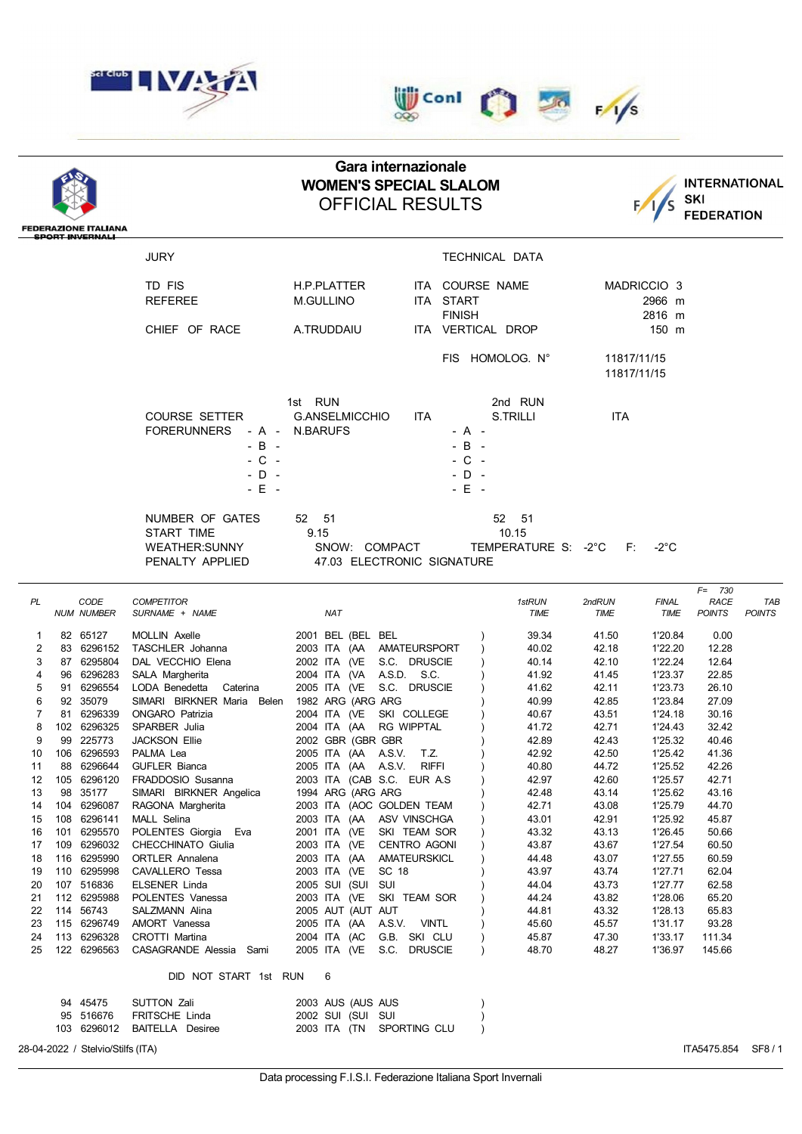



|                                   |                                                       |                                                                                                | Gara internazionale<br><b>WOMEN'S SPECIAL SLALOM</b>         |                              |                                           |                                            | <b>INTERNATIONAL</b>       |                             |                                           |                      |
|-----------------------------------|-------------------------------------------------------|------------------------------------------------------------------------------------------------|--------------------------------------------------------------|------------------------------|-------------------------------------------|--------------------------------------------|----------------------------|-----------------------------|-------------------------------------------|----------------------|
|                                   |                                                       |                                                                                                | SKI                                                          |                              |                                           |                                            |                            |                             |                                           |                      |
|                                   | <b>FEDERAZIONE ITALIANA</b><br><b>SPORT INVERNALI</b> |                                                                                                |                                                              |                              |                                           |                                            |                            |                             | <b>FEDERATION</b>                         |                      |
|                                   |                                                       | <b>JURY</b>                                                                                    |                                                              |                              | TECHNICAL DATA                            |                                            |                            |                             |                                           |                      |
|                                   |                                                       | TD FIS                                                                                         | H.P.PLATTER                                                  |                              |                                           | ITA COURSE NAME                            |                            | MADRICCIO <sub>3</sub>      |                                           |                      |
|                                   |                                                       | <b>REFEREE</b>                                                                                 | <b>M.GULLINO</b>                                             |                              | <b>ITA START</b><br><b>FINISH</b>         |                                            |                            | 2966 m<br>2816 m            |                                           |                      |
|                                   |                                                       | CHIEF OF RACE                                                                                  | A.TRUDDAIU                                                   |                              |                                           | ITA VERTICAL DROP                          |                            | 150 m                       |                                           |                      |
|                                   |                                                       |                                                                                                |                                                              |                              |                                           | FIS HOMOLOG. N°                            | 11817/11/15<br>11817/11/15 |                             |                                           |                      |
|                                   |                                                       | <b>COURSE SETTER</b><br><b>FORERUNNERS</b><br>- A -<br>- B -<br>- C -<br>$-$ D $-$<br>$-E$ $-$ | 1st RUN<br>G.ANSELMICCHIO<br>N.BARUFS                        | ITA.                         | - A -<br>- B -<br>- C -<br>- D -<br>- E - | 2nd RUN<br><b>S.TRILLI</b>                 | <b>ITA</b>                 |                             |                                           |                      |
|                                   |                                                       | NUMBER OF GATES<br>START TIME<br>WEATHER:SUNNY<br>PENALTY APPLIED                              | 52 51<br>9.15<br>SNOW: COMPACT<br>47.03 ELECTRONIC SIGNATURE |                              |                                           | 52<br>- 51<br>10.15<br>TEMPERATURE S: -2°C | F:                         | -2°C                        |                                           |                      |
| PL                                | CODE<br><b>NUM NUMBER</b>                             | <b>COMPETITOR</b><br>SURNAME + NAME                                                            | <b>NAT</b>                                                   |                              |                                           | 1stRUN<br><b>TIME</b>                      | 2ndRUN<br>TIME             | <b>FINAL</b><br><b>TIME</b> | $F = 730$<br><b>RACE</b><br><b>POINTS</b> | TAB<br><b>POINTS</b> |
| 1                                 | 82 65127                                              | MOLLIN Axelle                                                                                  | 2001 BEL (BEL BEL                                            |                              |                                           | 39.34                                      | 41.50                      | 1'20.84                     | 0.00                                      |                      |
| 2<br>3                            | 83 6296152<br>87 6295804                              | TASCHLER Johanna<br>DAL VECCHIO Elena                                                          | 2003 ITA (AA<br>2002 ITA (VE                                 | AMATEURSPORT<br>S.C. DRUSCIE |                                           | 40.02<br>40.14                             | 42.18<br>42.10             | 1'22.20<br>1'22.24          | 12.28<br>12.64                            |                      |
| 4                                 | 96 6296283                                            | SALA Margherita                                                                                | 2004 ITA (VA                                                 | A.S.D. S.C.                  |                                           | 41.92                                      | 41.45                      | 1'23.37                     | 22.85                                     |                      |
| 5                                 | 91 6296554                                            | LODA Benedetta<br>Caterina                                                                     | 2005 ITA (VE                                                 | S.C. DRUSCIE                 |                                           | 41.62                                      | 42.11                      | 1'23.73                     | 26.10                                     |                      |
| 6                                 | 92 35079                                              | SIMARI BIRKNER Maria Belen                                                                     | 1982 ARG (ARG ARG                                            |                              |                                           | 40.99                                      | 42.85                      | 1'23.84                     | 27.09                                     |                      |
| 7                                 | 81 6296339                                            | <b>ONGARO</b> Patrizia                                                                         | 2004 ITA (VE SKI COLLEGE                                     |                              |                                           | 40.67                                      | 43.51                      | 1'24.18                     | 30.16                                     |                      |
| 8<br>9<br>99                      | 102 6296325<br>225773                                 | SPARBER Julia<br><b>JACKSON Ellie</b>                                                          | 2004 ITA (AA<br>2002 GBR (GBR GBR                            | <b>RG WIPPTAL</b>            |                                           | 41.72<br>42.89                             | 42.71<br>42.43             | 1'24.43<br>1'25.32          | 32.42<br>40.46                            |                      |
| 10                                | 106 6296593                                           | PALMA Lea                                                                                      | 2005 ITA (AA A.S.V.                                          | T.Z.                         |                                           | 42.92                                      | 42.50                      | 1'25.42                     | 41.36                                     |                      |
| 11                                | 88 6296644                                            | <b>GUFLER Bianca</b>                                                                           | 2005 ITA (AA A.S.V. RIFFI                                    |                              |                                           | 40.80                                      | 44.72                      | 1'25.52                     | 42.26                                     |                      |
| 12                                | 105 6296120                                           | FRADDOSIO Susanna                                                                              | 2003 ITA (CAB S.C. EUR A.S.                                  |                              |                                           | 42.97                                      | 42.60                      | 1'25.57                     | 42.71                                     |                      |
| 13<br>14                          | 98 35177<br>104 6296087                               | SIMARI BIRKNER Angelica<br>RAGONA Margherita                                                   | 1994 ARG (ARG ARG<br>2003 ITA (AOC GOLDEN TEAM               |                              |                                           | 42.48<br>42.71                             | 43.14<br>43.08             | 1'25.62<br>1'25.79          | 43.16<br>44.70                            |                      |
| 15                                | 108 6296141                                           | MALL Selina                                                                                    | 2003 ITA (AA                                                 | ASV VINSCHGA                 |                                           | 43.01                                      | 42.91                      | 1'25.92                     | 45.87                                     |                      |
| 16<br>101                         | 6295570                                               | POLENTES Giorgia Eva                                                                           | 2001 ITA (VE                                                 | SKI TEAM SOR                 |                                           | 43.32                                      | 43.13                      | 1'26.45                     | 50.66                                     |                      |
| 17<br>109                         | 6296032                                               | CHECCHINATO Giulia                                                                             | 2003 ITA (VE                                                 | <b>CENTRO AGONI</b>          |                                           | 43.87                                      | 43.67                      | 1'27.54                     | 60.50                                     |                      |
| 18                                | 116 6295990                                           | <b>ORTLER Annalena</b>                                                                         | 2003 ITA (AA                                                 | AMATEURSKICL                 |                                           | 44.48                                      | 43.07                      | 1'27.55                     | 60.59                                     |                      |
| 19<br>20                          | 110 6295998<br>107 516836                             | CAVALLERO Tessa<br>ELSENER Linda                                                               | 2003 ITA (VE<br>SC 18<br>2005 SUI (SUI<br>SUI                |                              |                                           | 43.97<br>44.04                             | 43.74<br>43.73             | 1'27.71<br>1'27.77          | 62.04<br>62.58                            |                      |
| 21                                | 112 6295988                                           | POLENTES Vanessa                                                                               | 2003 ITA (VE                                                 | SKI TEAM SOR                 |                                           | 44.24                                      | 43.82                      | 1'28.06                     | 65.20                                     |                      |
| 22                                | 114 56743                                             | SALZMANN Alina                                                                                 | 2005 AUT (AUT AUT                                            |                              |                                           | 44.81                                      | 43.32                      | 1'28.13                     | 65.83                                     |                      |
| 23                                | 115 6296749                                           | AMORT Vanessa                                                                                  | 2005 ITA (AA                                                 | A.S.V. VINTL                 |                                           | 45.60                                      | 45.57                      | 1'31.17                     | 93.28                                     |                      |
| 24                                | 113 6296328                                           | CROTTI Martina                                                                                 | 2004 ITA (AC                                                 | G.B. SKI CLU                 |                                           | 45.87<br>48.70                             | 47.30                      | 1'33.17                     | 111.34                                    |                      |
| 25                                | 122 6296563                                           | CASAGRANDE Alessia Sami<br>DID NOT START 1st RUN                                               | 2005 ITA (VE S.C. DRUSCIE<br>6                               |                              |                                           |                                            | 48.27                      | 1'36.97                     | 145.66                                    |                      |
|                                   | 94 45475                                              | <b>SUTTON Zali</b>                                                                             | 2003 AUS (AUS AUS                                            |                              |                                           |                                            |                            |                             |                                           |                      |
|                                   | 95 516676                                             | FRITSCHE Linda                                                                                 | 2002 SUI (SUI SUI                                            |                              |                                           |                                            |                            |                             |                                           |                      |
|                                   | 103 6296012                                           | <b>BAITELLA</b> Desiree                                                                        | 2003 ITA (TN SPORTING CLU                                    |                              |                                           |                                            |                            |                             |                                           |                      |
| 28-04-2022 / Stelvio/Stilfs (ITA) |                                                       |                                                                                                |                                                              |                              |                                           |                                            |                            |                             | ITA5475.854 SF8/1                         |                      |